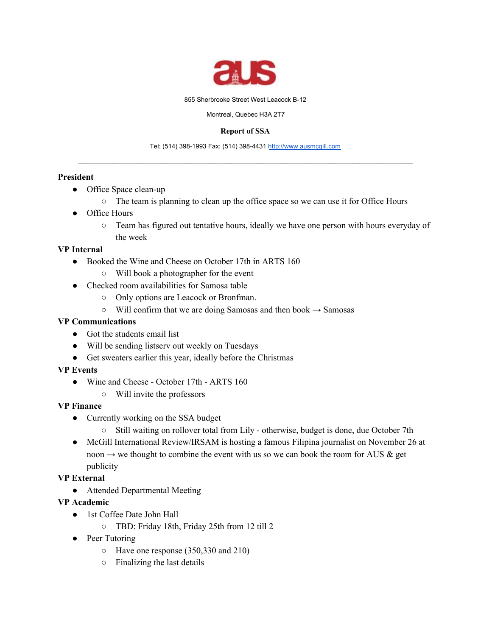

855 Sherbrooke Street West Leacock B-12

Montreal, Quebec H3A 2T7

#### **Report of SSA**

Tel: (514) 398-1993 Fax: (514) 398-4431 [http://www.ausmcgill.com](http://www.ausmcgill.com/)  $\_$  , and the set of the set of the set of the set of the set of the set of the set of the set of the set of the set of the set of the set of the set of the set of the set of the set of the set of the set of the set of th

## **President**

- Office Space clean-up
	- The team is planning to clean up the office space so we can use it for Office Hours
- Office Hours
	- Team has figured out tentative hours, ideally we have one person with hours everyday of the week

# **VP Internal**

- Booked the Wine and Cheese on October 17th in ARTS 160
	- Will book a photographer for the event
- Checked room availabilities for Samosa table
	- Only options are Leacock or Bronfman.
	- $\circ$  Will confirm that we are doing Samosas and then book  $\rightarrow$  Samosas

# **VP Communications**

- Got the students email list
- Will be sending listserv out weekly on Tuesdays
- Get sweaters earlier this year, ideally before the Christmas

## **VP Events**

- Wine and Cheese October 17th ARTS 160
	- Will invite the professors

## **VP Finance**

- Currently working on the SSA budget
	- Still waiting on rollover total from Lily otherwise, budget is done, due October 7th
- McGill International Review/IRSAM is hosting a famous Filipina journalist on November 26 at noon  $\rightarrow$  we thought to combine the event with us so we can book the room for AUS & get publicity

# **VP External**

- Attended Departmental Meeting
- **VP Academic**
	- 1st Coffee Date John Hall
		- TBD: Friday 18th, Friday 25th from 12 till 2
	- Peer Tutoring
		- Have one response (350,330 and 210)
		- Finalizing the last details